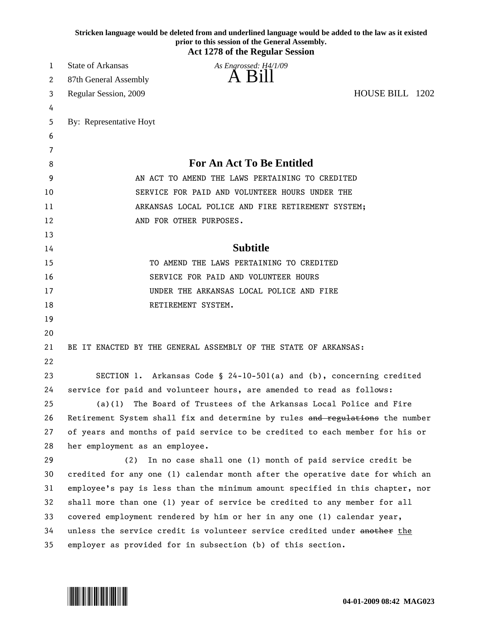|    | Stricken language would be deleted from and underlined language would be added to the law as it existed<br>prior to this session of the General Assembly.<br><b>Act 1278 of the Regular Session</b> |
|----|-----------------------------------------------------------------------------------------------------------------------------------------------------------------------------------------------------|
| 1  | <b>State of Arkansas</b><br>As Engrossed: H4/1/09                                                                                                                                                   |
| 2  | A Bill<br>87th General Assembly                                                                                                                                                                     |
| 3  | HOUSE BILL 1202<br>Regular Session, 2009                                                                                                                                                            |
| 4  |                                                                                                                                                                                                     |
| 5  | By: Representative Hoyt                                                                                                                                                                             |
| 6  |                                                                                                                                                                                                     |
| 7  |                                                                                                                                                                                                     |
| 8  | <b>For An Act To Be Entitled</b>                                                                                                                                                                    |
| 9  | AN ACT TO AMEND THE LAWS PERTAINING TO CREDITED                                                                                                                                                     |
| 10 | SERVICE FOR PAID AND VOLUNTEER HOURS UNDER THE                                                                                                                                                      |
| 11 | ARKANSAS LOCAL POLICE AND FIRE RETIREMENT SYSTEM;                                                                                                                                                   |
| 12 | AND FOR OTHER PURPOSES.                                                                                                                                                                             |
| 13 |                                                                                                                                                                                                     |
| 14 | <b>Subtitle</b>                                                                                                                                                                                     |
| 15 | TO AMEND THE LAWS PERTAINING TO CREDITED                                                                                                                                                            |
| 16 | SERVICE FOR PAID AND VOLUNTEER HOURS                                                                                                                                                                |
| 17 | UNDER THE ARKANSAS LOCAL POLICE AND FIRE                                                                                                                                                            |
| 18 | RETIREMENT SYSTEM.                                                                                                                                                                                  |
| 19 |                                                                                                                                                                                                     |
| 20 |                                                                                                                                                                                                     |
| 21 | BE IT ENACTED BY THE GENERAL ASSEMBLY OF THE STATE OF ARKANSAS:                                                                                                                                     |
| 22 |                                                                                                                                                                                                     |
| 23 | SECTION 1. Arkansas Code § 24-10-501(a) and (b), concerning credited                                                                                                                                |
| 24 | service for paid and volunteer hours, are amended to read as follows:                                                                                                                               |
| 25 | (a)(1) The Board of Trustees of the Arkansas Local Police and Fire                                                                                                                                  |
| 26 | Retirement System shall fix and determine by rules and regulations the number                                                                                                                       |
| 27 | of years and months of paid service to be credited to each member for his or                                                                                                                        |
| 28 | her employment as an employee.                                                                                                                                                                      |
| 29 | In no case shall one (1) month of paid service credit be<br>(2)                                                                                                                                     |
| 30 | credited for any one (1) calendar month after the operative date for which an                                                                                                                       |
| 31 | employee's pay is less than the minimum amount specified in this chapter, nor                                                                                                                       |
| 32 | shall more than one (1) year of service be credited to any member for all                                                                                                                           |
| 33 | covered employment rendered by him or her in any one (1) calendar year,                                                                                                                             |
| 34 | unless the service credit is volunteer service credited under another the                                                                                                                           |
| 35 | employer as provided for in subsection (b) of this section.                                                                                                                                         |